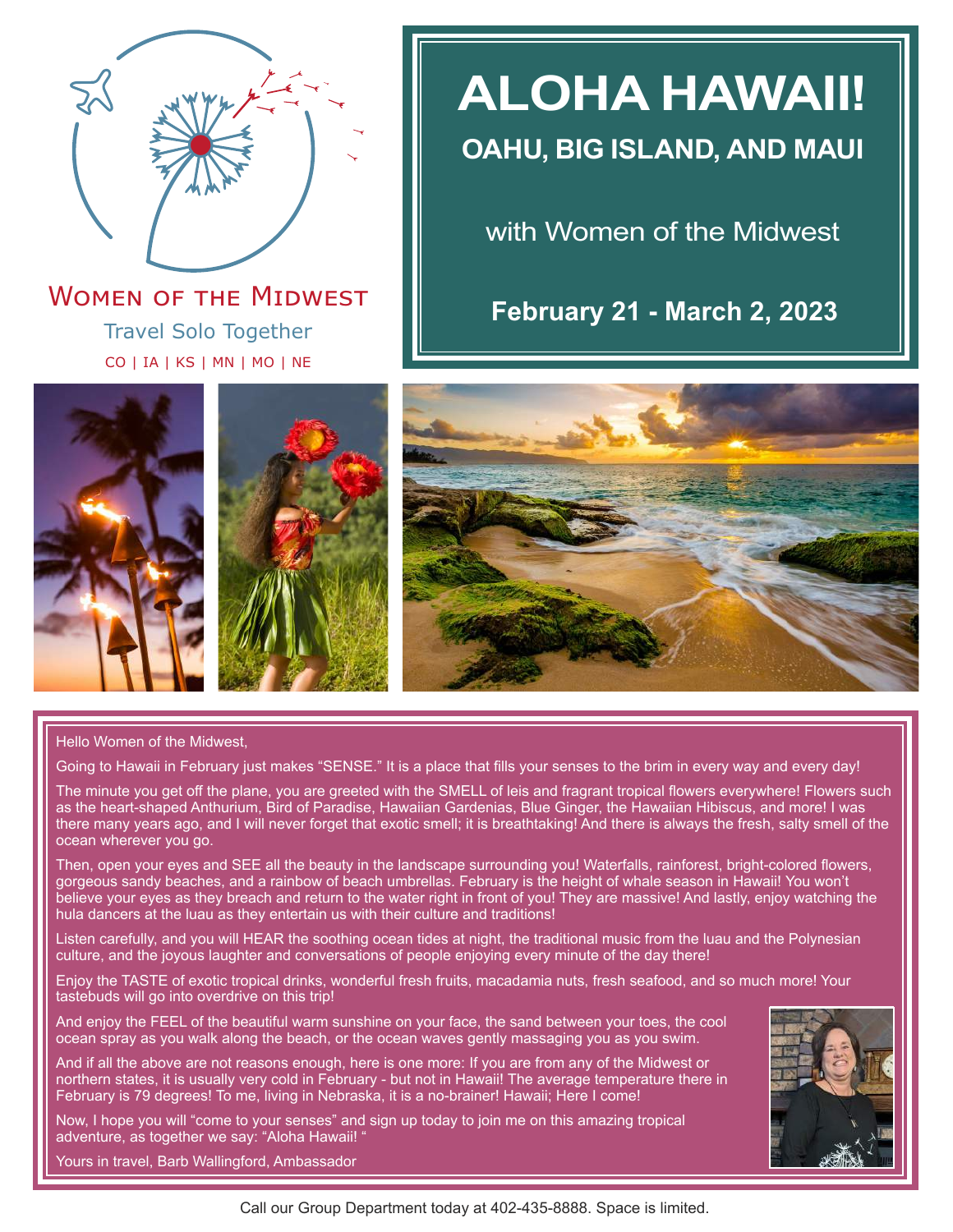

Travel Solo Together CO | IA | KS | MN | MO | NE **WOMEN OF THE MIDWEST** 

# **ALOHA HAWAII!**

# **OAHU, BIG ISLAND, AND MAUI**

with Women of the Midwest

**February 21 - March 2, 2023**







### Hello Women of the Midwest,

Going to Hawaii in February just makes "SENSE." It is a place that fills your senses to the brim in every way and every day!

The minute you get off the plane, you are greeted with the SMELL of leis and fragrant tropical flowers everywhere! Flowers such as the heart-shaped Anthurium, Bird of Paradise, Hawaiian Gardenias, Blue Ginger, the Hawaiian Hibiscus, and more! I was there many years ago, and I will never forget that exotic smell; it is breathtaking! And there is always the fresh, salty smell of the ocean wherever you go.

Then, open your eyes and SEE all the beauty in the landscape surrounding you! Waterfalls, rainforest, bright-colored flowers, gorgeous sandy beaches, and a rainbow of beach umbrellas. February is the height of whale season in Hawaii! You won't believe your eyes as they breach and return to the water right in front of you! They are massive! And lastly, enjoy watching the hula dancers at the luau as they entertain us with their culture and traditions!

Listen carefully, and you will HEAR the soothing ocean tides at night, the traditional music from the luau and the Polynesian culture, and the joyous laughter and conversations of people enjoying every minute of the day there!

Enjoy the TASTE of exotic tropical drinks, wonderful fresh fruits, macadamia nuts, fresh seafood, and so much more! Your tastebuds will go into overdrive on this trip!

And enjoy the FEEL of the beautiful warm sunshine on your face, the sand between your toes, the cool ocean spray as you walk along the beach, or the ocean waves gently massaging you as you swim.

And if all the above are not reasons enough, here is one more: If you are from any of the Midwest or northern states, it is usually very cold in February - but not in Hawaii! The average temperature there in February is 79 degrees! To me, living in Nebraska, it is a no-brainer! Hawaii; Here I come!

Now, I hope you will "come to your senses" and sign up today to join me on this amazing tropical adventure, as together we say: "Aloha Hawaii! "



Yours in travel, Barb Wallingford, Ambassador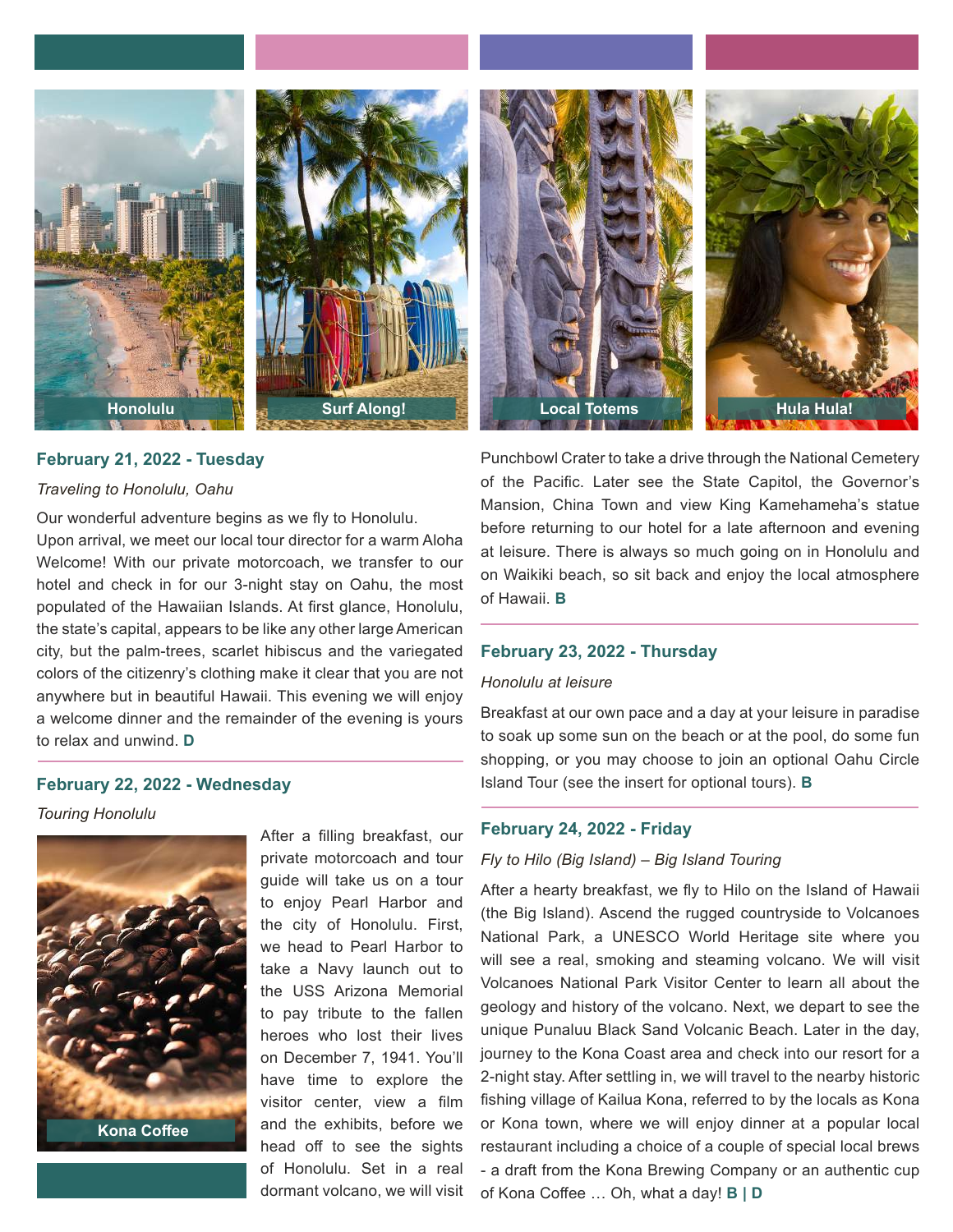



### **February 21, 2022 - Tuesday**

### *Traveling to Honolulu, Oahu*

Our wonderful adventure begins as we fly to Honolulu.

Upon arrival, we meet our local tour director for a warm Aloha Welcome! With our private motorcoach, we transfer to our hotel and check in for our 3-night stay on Oahu, the most populated of the Hawaiian Islands. At first glance, Honolulu, the state's capital, appears to be like any other large American city, but the palm-trees, scarlet hibiscus and the variegated colors of the citizenry's clothing make it clear that you are not anywhere but in beautiful Hawaii. This evening we will enjoy a welcome dinner and the remainder of the evening is yours to relax and unwind. **D**

### **February 22, 2022 - Wednesday**

*Touring Honolulu*



After a filling breakfast, our private motorcoach and tour guide will take us on a tour to enjoy Pearl Harbor and the city of Honolulu. First, we head to Pearl Harbor to take a Navy launch out to the USS Arizona Memorial to pay tribute to the fallen heroes who lost their lives on December 7, 1941. You'll have time to explore the visitor center, view a film and the exhibits, before we head off to see the sights of Honolulu. Set in a real dormant volcano, we will visit



Punchbowl Crater to take a drive through the National Cemetery of the Pacific. Later see the State Capitol, the Governor's Mansion, China Town and view King Kamehameha's statue before returning to our hotel for a late afternoon and evening at leisure. There is always so much going on in Honolulu and on Waikiki beach, so sit back and enjoy the local atmosphere of Hawaii. **B**

### **February 23, 2022 - Thursday**

### *Honolulu at leisure*

Breakfast at our own pace and a day at your leisure in paradise to soak up some sun on the beach or at the pool, do some fun shopping, or you may choose to join an optional Oahu Circle Island Tour (see the insert for optional tours). **B**

### **February 24, 2022 - Friday**

### *Fly to Hilo (Big Island) – Big Island Touring*

After a hearty breakfast, we fly to Hilo on the Island of Hawaii (the Big Island). Ascend the rugged countryside to Volcanoes National Park, a UNESCO World Heritage site where you will see a real, smoking and steaming volcano. We will visit Volcanoes National Park Visitor Center to learn all about the geology and history of the volcano. Next, we depart to see the unique Punaluu Black Sand Volcanic Beach. Later in the day, journey to the Kona Coast area and check into our resort for a 2-night stay. After settling in, we will travel to the nearby historic fishing village of Kailua Kona, referred to by the locals as Kona or Kona town, where we will enjoy dinner at a popular local restaurant including a choice of a couple of special local brews - a draft from the Kona Brewing Company or an authentic cup of Kona Coffee … Oh, what a day! **B | D**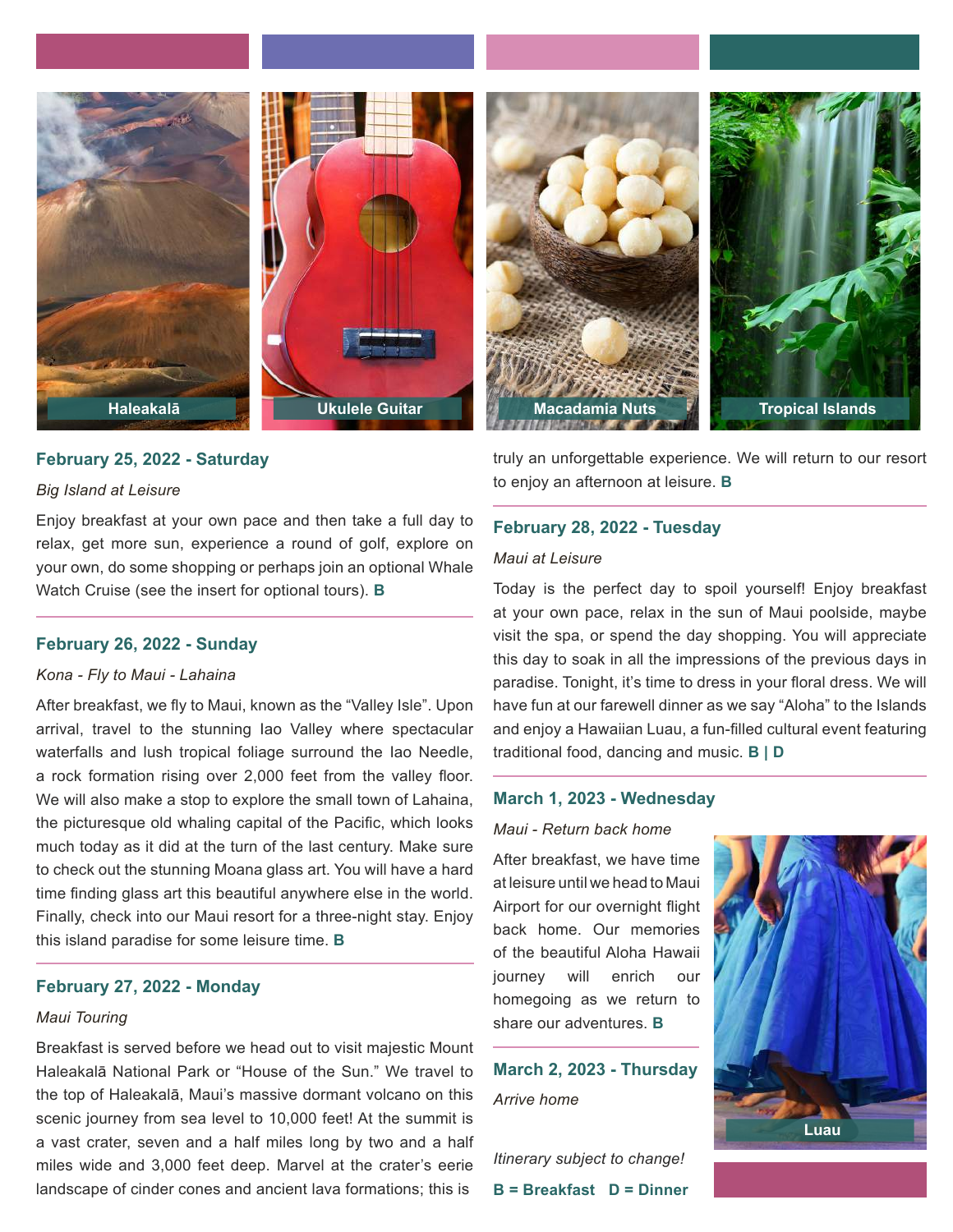



# **Haleakalā Ukulele Guitar Macadamia Nuts Tropical Islands**

### **February 25, 2022 - Saturday**

### *Big Island at Leisure*

Enjoy breakfast at your own pace and then take a full day to relax, get more sun, experience a round of golf, explore on your own, do some shopping or perhaps join an optional Whale Watch Cruise (see the insert for optional tours). **B**

### **February 26, 2022 - Sunday**

### *Kona - Fly to Maui - Lahaina*

After breakfast, we fly to Maui, known as the "Valley Isle". Upon arrival, travel to the stunning Iao Valley where spectacular waterfalls and lush tropical foliage surround the Iao Needle, a rock formation rising over 2,000 feet from the valley floor. We will also make a stop to explore the small town of Lahaina, the picturesque old whaling capital of the Pacific, which looks much today as it did at the turn of the last century. Make sure to check out the stunning Moana glass art. You will have a hard time finding glass art this beautiful anywhere else in the world. Finally, check into our Maui resort for a three-night stay. Enjoy this island paradise for some leisure time. **B**

### **February 27, 2022 - Monday**

### *Maui Touring*

Breakfast is served before we head out to visit majestic Mount Haleakalā National Park or "House of the Sun." We travel to the top of Haleakalā, Maui's massive dormant volcano on this scenic journey from sea level to 10,000 feet! At the summit is a vast crater, seven and a half miles long by two and a half miles wide and 3,000 feet deep. Marvel at the crater's eerie landscape of cinder cones and ancient lava formations; this is

truly an unforgettable experience. We will return to our resort to enjoy an afternoon at leisure. **B**

### **February 28, 2022 - Tuesday**

### *Maui at Leisure*

Today is the perfect day to spoil yourself! Enjoy breakfast at your own pace, relax in the sun of Maui poolside, maybe visit the spa, or spend the day shopping. You will appreciate this day to soak in all the impressions of the previous days in paradise. Tonight, it's time to dress in your floral dress. We will have fun at our farewell dinner as we say "Aloha" to the Islands and enjoy a Hawaiian Luau, a fun-filled cultural event featuring traditional food, dancing and music. **B | D**

### **March 1, 2023 - Wednesday**

### *Maui - Return back home*

After breakfast, we have time at leisure until we head to Maui Airport for our overnight flight back home. Our memories of the beautiful Aloha Hawaii journey will enrich our homegoing as we return to share our adventures. **B**

**March 2, 2023 - Thursday** *Arrive home*

*Itinerary subject to change!* **B = Breakfast D = Dinner**

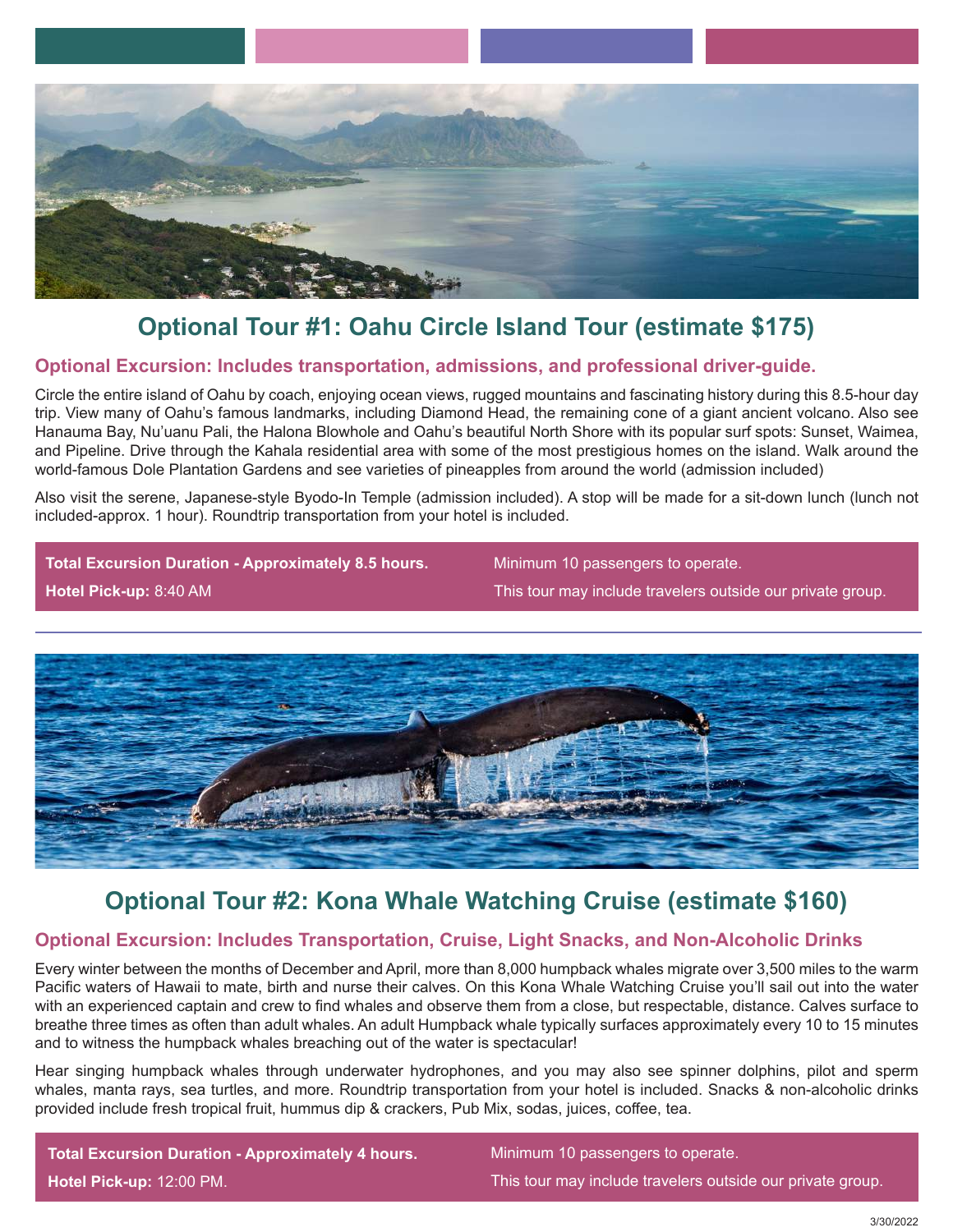

# **Optional Tour #1: Oahu Circle Island Tour (estimate \$175)**

### **Optional Excursion: Includes transportation, admissions, and professional driver-guide.**

Circle the entire island of Oahu by coach, enjoying ocean views, rugged mountains and fascinating history during this 8.5-hour day trip. View many of Oahu's famous landmarks, including Diamond Head, the remaining cone of a giant ancient volcano. Also see Hanauma Bay, Nu'uanu Pali, the Halona Blowhole and Oahu's beautiful North Shore with its popular surf spots: Sunset, Waimea, and Pipeline. Drive through the Kahala residential area with some of the most prestigious homes on the island. Walk around the world-famous Dole Plantation Gardens and see varieties of pineapples from around the world (admission included)

Also visit the serene, Japanese-style Byodo-In Temple (admission included). A stop will be made for a sit-down lunch (lunch not included-approx. 1 hour). Roundtrip transportation from your hotel is included.

**Total Excursion Duration - Approximately 8.5 hours. Hotel Pick-up:** 8:40 AM

Minimum 10 passengers to operate.

This tour may include travelers outside our private group.



## **Optional Tour #2: Kona Whale Watching Cruise (estimate \$160)**

### **Optional Excursion: Includes Transportation, Cruise, Light Snacks, and Non-Alcoholic Drinks**

Every winter between the months of December and April, more than 8,000 humpback whales migrate over 3,500 miles to the warm Pacific waters of Hawaii to mate, birth and nurse their calves. On this Kona Whale Watching Cruise you'll sail out into the water with an experienced captain and crew to find whales and observe them from a close, but respectable, distance. Calves surface to breathe three times as often than adult whales. An adult Humpback whale typically surfaces approximately every 10 to 15 minutes and to witness the humpback whales breaching out of the water is spectacular!

Hear singing humpback whales through underwater hydrophones, and you may also see spinner dolphins, pilot and sperm whales, manta rays, sea turtles, and more. Roundtrip transportation from your hotel is included. Snacks & non-alcoholic drinks provided include fresh tropical fruit, hummus dip & crackers, Pub Mix, sodas, juices, coffee, tea.

**Total Excursion Duration - Approximately 4 hours. Hotel Pick-up:** 12:00 PM.

Minimum 10 passengers to operate. This tour may include travelers outside our private group.